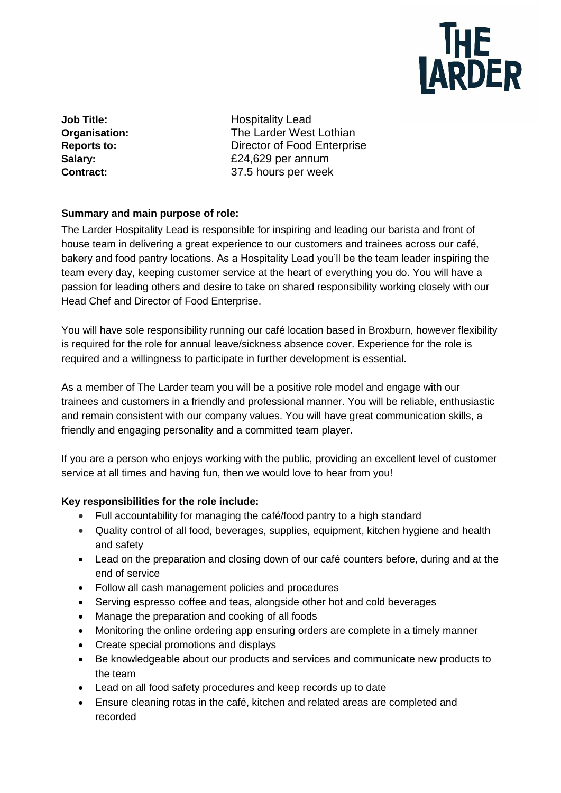

**Job Title:** Hospitality Lead **Organisation:** The Larder West Lothian **Reports to:** Director of Food Enterprise **Salary:** £24,629 per annum **Contract:** 37.5 hours per week

### **Summary and main purpose of role:**

The Larder Hospitality Lead is responsible for inspiring and leading our barista and front of house team in delivering a great experience to our customers and trainees across our café, bakery and food pantry locations. As a Hospitality Lead you'll be the team leader inspiring the team every day, keeping customer service at the heart of everything you do. You will have a passion for leading others and desire to take on shared responsibility working closely with our Head Chef and Director of Food Enterprise.

You will have sole responsibility running our café location based in Broxburn, however flexibility is required for the role for annual leave/sickness absence cover. Experience for the role is required and a willingness to participate in further development is essential.

As a member of The Larder team you will be a positive role model and engage with our trainees and customers in a friendly and professional manner. You will be reliable, enthusiastic and remain consistent with our company values. You will have great communication skills, a friendly and engaging personality and a committed team player.

If you are a person who enjoys working with the public, providing an excellent level of customer service at all times and having fun, then we would love to hear from you!

## **Key responsibilities for the role include:**

- Full accountability for managing the café/food pantry to a high standard
- Quality control of all food, beverages, supplies, equipment, kitchen hygiene and health and safety
- Lead on the preparation and closing down of our café counters before, during and at the end of service
- Follow all cash management policies and procedures
- Serving espresso coffee and teas, alongside other hot and cold beverages
- Manage the preparation and cooking of all foods
- Monitoring the online ordering app ensuring orders are complete in a timely manner
- Create special promotions and displays
- Be knowledgeable about our products and services and communicate new products to the team
- Lead on all food safety procedures and keep records up to date
- Ensure cleaning rotas in the café, kitchen and related areas are completed and recorded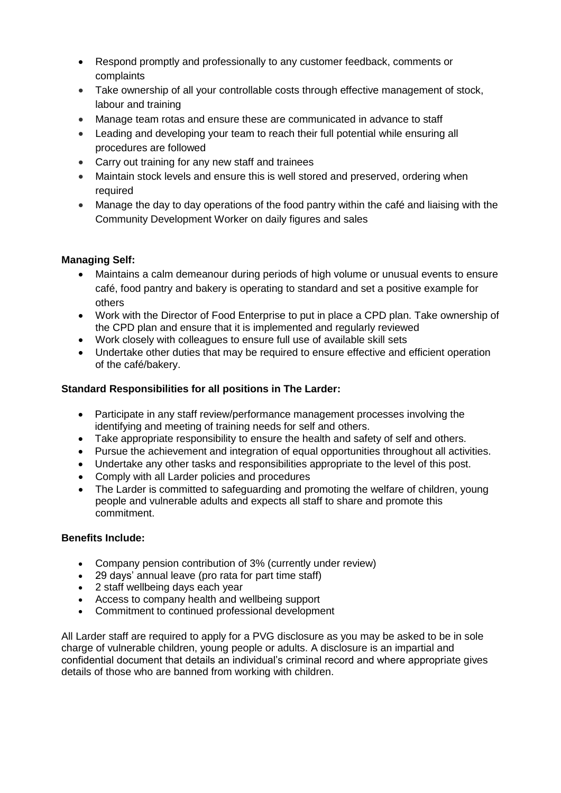- Respond promptly and professionally to any customer feedback, comments or complaints
- Take ownership of all your controllable costs through effective management of stock, labour and training
- Manage team rotas and ensure these are communicated in advance to staff
- Leading and developing your team to reach their full potential while ensuring all procedures are followed
- Carry out training for any new staff and trainees
- Maintain stock levels and ensure this is well stored and preserved, ordering when required
- Manage the day to day operations of the food pantry within the café and liaising with the Community Development Worker on daily figures and sales

#### **Managing Self:**

- Maintains a calm demeanour during periods of high volume or unusual events to ensure café, food pantry and bakery is operating to standard and set a positive example for others
- Work with the Director of Food Enterprise to put in place a CPD plan. Take ownership of the CPD plan and ensure that it is implemented and regularly reviewed
- Work closely with colleagues to ensure full use of available skill sets
- Undertake other duties that may be required to ensure effective and efficient operation of the café/bakery.

#### **Standard Responsibilities for all positions in The Larder:**

- Participate in any staff review/performance management processes involving the identifying and meeting of training needs for self and others.
- Take appropriate responsibility to ensure the health and safety of self and others.
- Pursue the achievement and integration of equal opportunities throughout all activities.
- Undertake any other tasks and responsibilities appropriate to the level of this post.
- Comply with all Larder policies and procedures
- The Larder is committed to safeguarding and promoting the welfare of children, young people and vulnerable adults and expects all staff to share and promote this commitment.

#### **Benefits Include:**

- Company pension contribution of 3% (currently under review)
- 29 days' annual leave (pro rata for part time staff)
- 2 staff wellbeing days each year
- Access to company health and wellbeing support
- Commitment to continued professional development

All Larder staff are required to apply for a PVG disclosure as you may be asked to be in sole charge of vulnerable children, young people or adults. A disclosure is an impartial and confidential document that details an individual's criminal record and where appropriate gives details of those who are banned from working with children.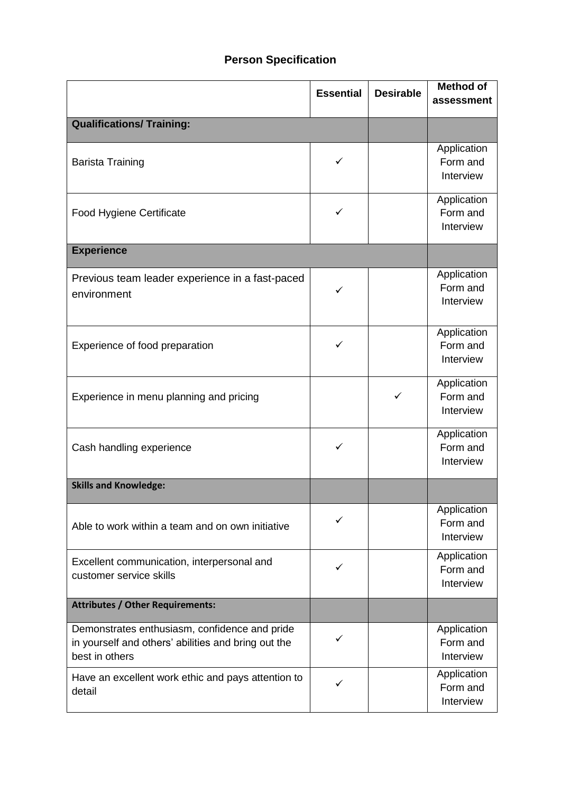# **Person Specification**

|                                                                                                                        | <b>Essential</b> | <b>Desirable</b> | <b>Method of</b><br>assessment       |
|------------------------------------------------------------------------------------------------------------------------|------------------|------------------|--------------------------------------|
| <b>Qualifications/ Training:</b>                                                                                       |                  |                  |                                      |
| <b>Barista Training</b>                                                                                                | ✓                |                  | Application<br>Form and<br>Interview |
| <b>Food Hygiene Certificate</b>                                                                                        | ✓                |                  | Application<br>Form and<br>Interview |
| <b>Experience</b>                                                                                                      |                  |                  |                                      |
| Previous team leader experience in a fast-paced<br>environment                                                         | ✓                |                  | Application<br>Form and<br>Interview |
| Experience of food preparation                                                                                         | ✓                |                  | Application<br>Form and<br>Interview |
| Experience in menu planning and pricing                                                                                |                  | $\checkmark$     | Application<br>Form and<br>Interview |
| Cash handling experience                                                                                               | ✓                |                  | Application<br>Form and<br>Interview |
| <b>Skills and Knowledge:</b>                                                                                           |                  |                  |                                      |
| Able to work within a team and on own initiative                                                                       | ✓                |                  | Application<br>Form and<br>Interview |
| Excellent communication, interpersonal and<br>customer service skills                                                  | ✓                |                  | Application<br>Form and<br>Interview |
| <b>Attributes / Other Requirements:</b>                                                                                |                  |                  |                                      |
| Demonstrates enthusiasm, confidence and pride<br>in yourself and others' abilities and bring out the<br>best in others | ✓                |                  | Application<br>Form and<br>Interview |
| Have an excellent work ethic and pays attention to<br>detail                                                           | ✓                |                  | Application<br>Form and<br>Interview |